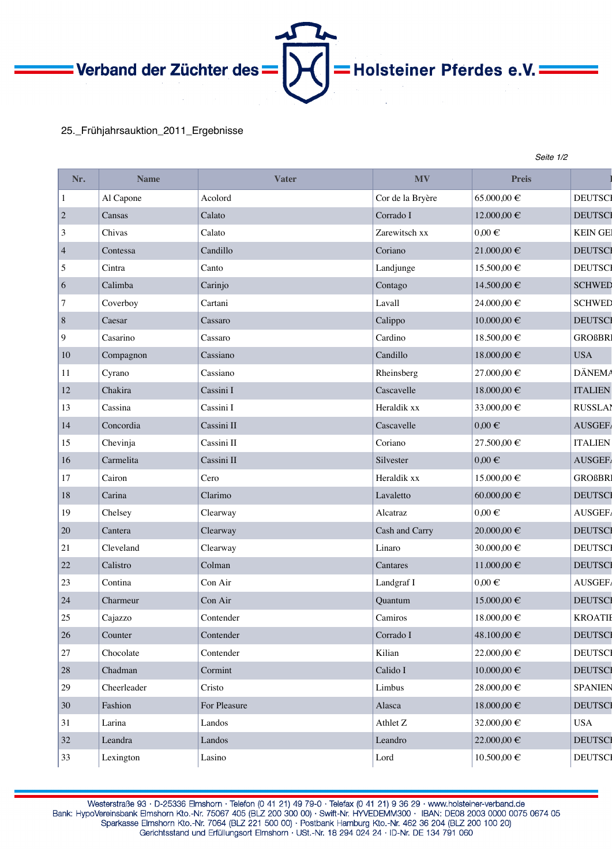Verband der Züchter des

## 25.\_Frühjahrsauktion\_2011\_Ergebnisse

| Nr.            | <b>Name</b> | <b>Vater</b> | <b>MV</b>        | <b>Preis</b>      |                 |
|----------------|-------------|--------------|------------------|-------------------|-----------------|
| $\mathbf{1}$   | Al Capone   | Acolord      | Cor de la Bryère | 65.000,00 €       | <b>DEUTSCI</b>  |
| $\mathbf{2}$   | Cansas      | Calato       | Corrado I        | 12.000,00 €       | <b>DEUTSCI</b>  |
| 3              | Chivas      | Calato       | Zarewitsch xx    | $0,00 \in$        | <b>KEIN GEI</b> |
| $\overline{4}$ | Contessa    | Candillo     | Coriano          | $21.000,00\in$    | <b>DEUTSCI</b>  |
| 5              | Cintra      | Canto        | Landjunge        | 15.500,00 €       | <b>DEUTSCI</b>  |
| 6              | Calimba     | Carinjo      | Contago          | 14.500,00 €       | <b>SCHWED</b>   |
| 7              | Coverboy    | Cartani      | Lavall           | $24.000{,}00 \in$ | <b>SCHWED</b>   |
| $8\,$          | Caesar      | Cassaro      | Calippo          | $10.000{,}00 \in$ | <b>DEUTSCI</b>  |
| 9              | Casarino    | Cassaro      | Cardino          | 18.500,00 €       | <b>GROßBRI</b>  |
| 10             | Compagnon   | Cassiano     | Candillo         | 18.000,00 €       | <b>USA</b>      |
| 11             | Cyrano      | Cassiano     | Rheinsberg       | $27.000{,}00 \in$ | <b>DÄNEMA</b>   |
| 12             | Chakira     | Cassini I    | Cascavelle       | 18.000,00 €       | <b>ITALIEN</b>  |
| 13             | Cassina     | Cassini I    | Heraldik xx      | 33.000,00 €       | <b>RUSSLAI</b>  |
| 14             | Concordia   | Cassini II   | Cascavelle       | $0,00 \in$        | <b>AUSGEF</b>   |
| 15             | Chevinja    | Cassini II   | Coriano          | 27.500,00 €       | <b>ITALIEN</b>  |
| 16             | Carmelita   | Cassini II   | Silvester        | $0,00 \in$        | AUSGEF/         |
| 17             | Cairon      | Cero         | Heraldik xx      | 15.000,00 €       | <b>GROßBRI</b>  |
| 18             | Carina      | Clarimo      | Lavaletto        | $60.000{,}00 \in$ | <b>DEUTSCI</b>  |
| 19             | Chelsey     | Clearway     | Alcatraz         | $0,00 \in$        | AUSGEF.         |
| $20\,$         | Cantera     | Clearway     | Cash and Carry   | $20.000{,}00 \in$ | <b>DEUTSCI</b>  |
| 21             | Cleveland   | Clearway     | Linaro           | $30.000{,}00 \in$ | <b>DEUTSCI</b>  |
| 22             | Calistro    | Colman       | Cantares         | $11.000,00 \in$   | <b>DEUTSCI</b>  |
| 23             | Contina     | Con Air      | Landgraf I       | $0,00 \in$        | AUSGEF/         |
| 24             | Charmeur    | Con Air      | Quantum          | 15.000,00 €       | <b>DEUTSCI</b>  |
| 25             | Cajazzo     | Contender    | Camiros          | 18.000,00 €       | <b>KROATII</b>  |
| $26\,$         | Counter     | Contender    | Corrado I        | 48.100,00 €       | <b>DEUTSCI</b>  |
| $27\,$         | Chocolate   | Contender    | Kilian           | 22.000,00 €       | <b>DEUTSCI</b>  |
| 28             | Chadman     | Cormint      | Calido I         | $10.000{,}00 \in$ | <b>DEUTSCI</b>  |
| 29             | Cheerleader | Cristo       | Limbus           | 28.000,00 €       | <b>SPANIEN</b>  |
| $30\,$         | Fashion     | For Pleasure | Alasca           | 18.000,00 €       | <b>DEUTSCI</b>  |
| 31             | Larina      | Landos       | Athlet Z         | 32.000,00 €       | <b>USA</b>      |
| $32\,$         | Leandra     | Landos       | Leandro          | 22.000,00 €       | <b>DEUTSCI</b>  |

*Seite 1/2* 

- Holsteiner Pferdes e.V<mark>.</mark> -

Lexington Lasino Lasino Lord Lord 10.500,00  $\epsilon$  DEUTSCH